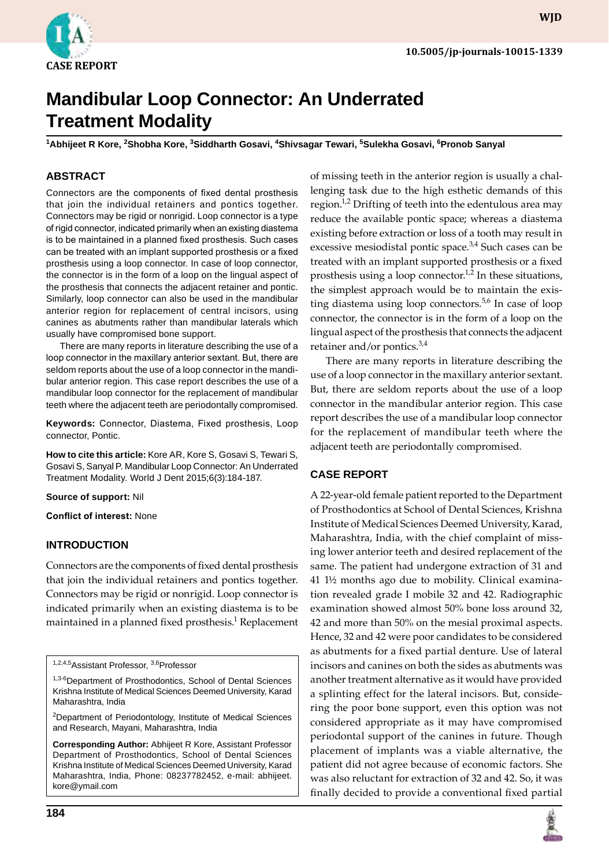

**wjd**

# **Mandibular Loop Connector: An Underrated Treatment Modality**

<sup>1</sup>Abhijeet R Kore, <sup>2</sup>Shobha Kore, <sup>3</sup>Siddharth Gosavi, <sup>4</sup>Shivsagar Tewari, <sup>5</sup>Sulekha Gosavi, <sup>6</sup>Pronob Sanyal

### **ABSTRACT**

Connectors are the components of fixed dental prosthesis that join the individual retainers and pontics together. Connectors may be rigid or nonrigid. Loop connector is a type of rigid connector, indicated primarily when an existing diastema is to be maintained in a planned fixed prosthesis. Such cases can be treated with an implant supported prosthesis or a fixed prosthesis using a loop connector. In case of loop connector, the connector is in the form of a loop on the lingual aspect of the prosthesis that connects the adjacent retainer and pontic. Similarly, loop connector can also be used in the mandibular anterior region for replacement of central incisors, using canines as abutments rather than mandibular laterals which usually have compromised bone support.

There are many reports in literature describing the use of a loop connector in the maxillary anterior sextant. But, there are seldom reports about the use of a loop connector in the mandibular anterior region. This case report describes the use of a mandibular loop connector for the replacement of mandibular teeth where the adjacent teeth are periodontally compromised.

**Keywords:** Connector, Diastema, Fixed prosthesis, Loop connector, Pontic.

**How to cite this article:** Kore AR, Kore S, Gosavi S, Tewari S, Gosavi S, Sanyal P. Mandibular Loop Connector: An Underrated Treatment Modality. World J Dent 2015;6(3):184-187.

**Source of support:** Nil

**Conflict of interest:** None

#### **Introduction**

Connectors are the components of fixed dental prosthesis that join the individual retainers and pontics together. Connectors may be rigid or nonrigid. Loop connector is indicated primarily when an existing diastema is to be maintained in a planned fixed prosthesis.<sup>1</sup> Replacement

of missing teeth in the anterior region is usually a challenging task due to the high esthetic demands of this region. $1/2$  Drifting of teeth into the edentulous area may reduce the available pontic space; whereas a diastema existing before extraction or loss of a tooth may result in excessive mesiodistal pontic space.<sup>3,4</sup> Such cases can be treated with an implant supported prosthesis or a fixed prosthesis using a loop connector.<sup>1,2</sup> In these situations, the simplest approach would be to maintain the existing diastema using loop connectors.<sup>5,6</sup> In case of loop connector, the connector is in the form of a loop on the lingual aspect of the prosthesis that connects the adjacent retainer and/or pontics. $3,4$ 

There are many reports in literature describing the use of a loop connector in the maxillary anterior sextant. But, there are seldom reports about the use of a loop connector in the mandibular anterior region. This case report describes the use of a mandibular loop connector for the replacement of mandibular teeth where the adjacent teeth are periodontally compromised.

#### **CASE REPORT**

A 22-year-old female patient reported to the Department of Prosthodontics at School of Dental Sciences, Krishna Institute of Medical Sciences Deemed University, Karad, Maharashtra, India, with the chief complaint of missing lower anterior teeth and desired replacement of the same. The patient had undergone extraction of 31 and 41 1½ months ago due to mobility. Clinical examination revealed grade I mobile 32 and 42. Radiographic examination showed almost 50% bone loss around 32, 42 and more than 50% on the mesial proximal aspects. Hence, 32 and 42 were poor candidates to be considered as abutments for a fixed partial denture. Use of lateral incisors and canines on both the sides as abutments was another treatment alternative as it would have provided a splinting effect for the lateral incisors. But, considering the poor bone support, even this option was not considered appropriate as it may have compromised periodontal support of the canines in future. Though placement of implants was a viable alternative, the patient did not agree because of economic factors. She was also reluctant for extraction of 32 and 42. So, it was finally decided to provide a conventional fixed partial



<sup>1,2,4,5</sup>Assistant Professor, 3,6Professor

<sup>1,3-6</sup>Department of Prosthodontics, School of Dental Sciences Krishna Institute of Medical Sciences Deemed University, Karad Maharashtra, India

<sup>&</sup>lt;sup>2</sup>Department of Periodontology, Institute of Medical Sciences and Research, Mayani, Maharashtra, India

**Corresponding Author:** Abhijeet R Kore, Assistant Professor Department of Prosthodontics, School of Dental Sciences Krishna Institute of Medical Sciences Deemed University, Karad Maharashtra, India, Phone: 08237782452, e-mail: abhijeet. kore@ymail.com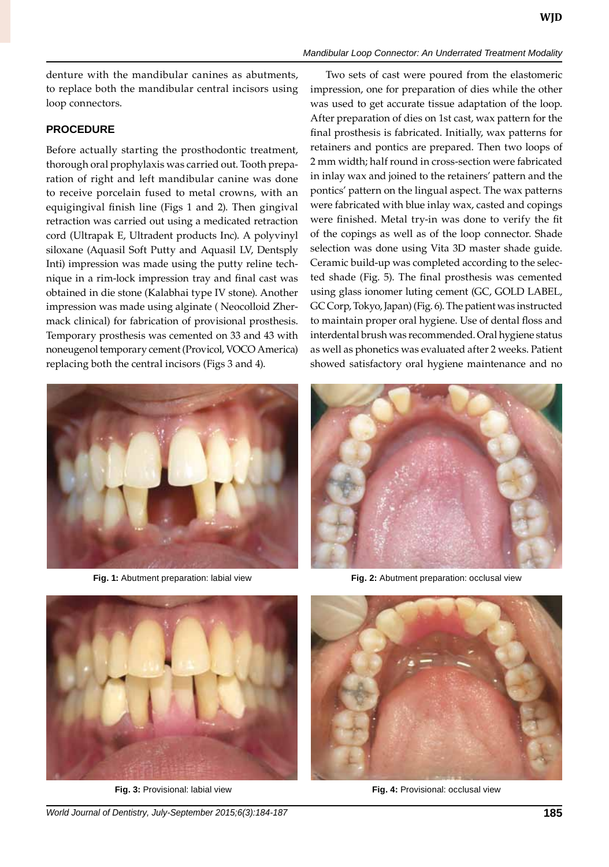*Mandibular Loop Connector: An Underrated Treatment Modality*

denture with the mandibular canines as abutments, to replace both the mandibular central incisors using loop connectors.

## **PROCEDURE**

Before actually starting the prosthodontic treatment, thorough oral prophylaxis was carried out. Tooth preparation of right and left mandibular canine was done to receive porcelain fused to metal crowns, with an equigingival finish line (Figs 1 and 2). Then gingival retraction was carried out using a medicated retraction cord (Ultrapak E, Ultradent products Inc). A polyvinyl siloxane (Aquasil Soft Putty and Aquasil LV, Dentsply Inti) impression was made using the putty reline technique in a rim-lock impression tray and final cast was obtained in die stone (Kalabhai type IV stone). Another impression was made using alginate ( Neocolloid Zhermack clinical) for fabrication of provisional prosthesis. Temporary prosthesis was cemented on 33 and 43 with noneugenol temporary cement (Provicol, VOCO America) replacing both the central incisors (Figs 3 and 4).



Two sets of cast were poured from the elastomeric impression, one for preparation of dies while the other was used to get accurate tissue adaptation of the loop. After preparation of dies on 1st cast, wax pattern for the final prosthesis is fabricated. Initially, wax patterns for retainers and pontics are prepared. Then two loops of 2 mm width; half round in cross-section were fabricated in inlay wax and joined to the retainers' pattern and the pontics' pattern on the lingual aspect. The wax patterns were fabricated with blue inlay wax, casted and copings were finished. Metal try-in was done to verify the fit of the copings as well as of the loop connector. Shade selection was done using Vita 3D master shade guide. Ceramic build-up was completed according to the selected shade (Fig. 5). The final prosthesis was cemented using glass ionomer luting cement (GC, GOLD LABEL, GC Corp, Tokyo, Japan) (Fig. 6). The patient was instructed to maintain proper oral hygiene. Use of dental floss and interdental brush was recommended. Oral hygiene status as well as phonetics was evaluated after 2 weeks. Patient showed satisfactory oral hygiene maintenance and no



**Fig. 1:** Abutment preparation: labial view **Fig. 2:** Abutment preparation: occlusal view





 **Fig. 3:** Provisional: labial view **Fig. 4:** Provisional: occlusal view

*World Journal of Dentistry, July-September 2015;6(3):184-187* **185**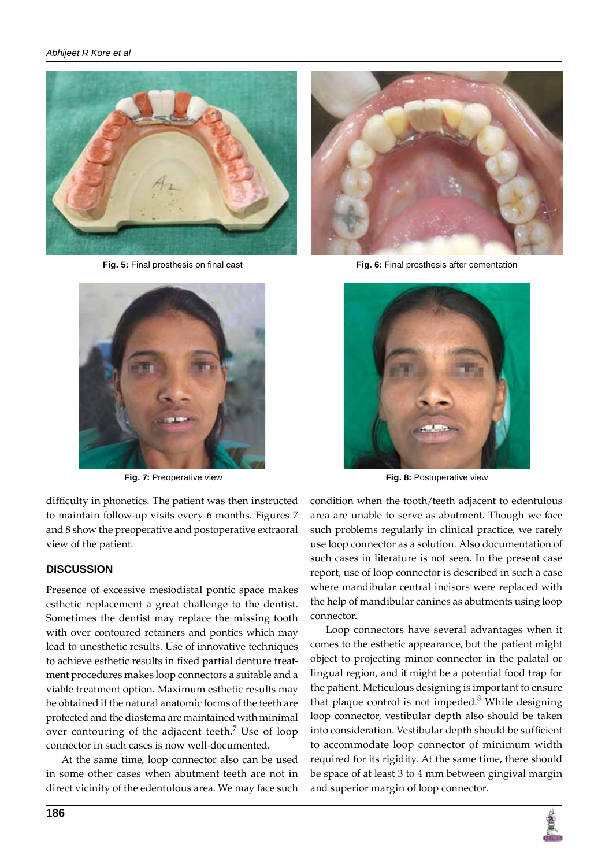



 **Fig. 7:** Preoperative view

difficulty in phonetics. The patient was then instructed to maintain follow-up visits every 6 months. Figures 7 and 8 show the preoperative and postoperative extraoral view of the patient.

# **DISCUSSION**

Presence of excessive mesiodistal pontic space makes esthetic replacement a great challenge to the dentist. Sometimes the dentist may replace the missing tooth with over contoured retainers and pontics which may lead to unesthetic results. Use of innovative techniques to achieve esthetic results in fixed partial denture treatment procedures makes loop connectors a suitable and a viable treatment option. Maximum esthetic results may be obtained if the natural anatomic forms of the teeth are protected and the diastema are maintained with minimal over contouring of the adjacent teeth.<sup>7</sup> Use of loop connector in such cases is now well-documented.

At the same time, loop connector also can be used in some other cases when abutment teeth are not in direct vicinity of the edentulous area. We may face such



 **Fig. 5:** final prosthesis on final cast **Fig. 6:** Final prosthesis after cementation



**Fig. 8:** Postoperative view

condition when the tooth/teeth adjacent to edentulous area are unable to serve as abutment. Though we face such problems regularly in clinical practice, we rarely use loop connector as a solution. Also documentation of such cases in literature is not seen. In the present case report, use of loop connector is described in such a case where mandibular central incisors were replaced with the help of mandibular canines as abutments using loop connector.

Loop connectors have several advantages when it comes to the esthetic appearance, but the patient might object to projecting minor connector in the palatal or lingual region, and it might be a potential food trap for the patient. Meticulous designing is important to ensure that plaque control is not impeded. $8$  While designing loop connector, vestibular depth also should be taken into consideration. Vestibular depth should be sufficient to accommodate loop connector of minimum width required for its rigidity. At the same time, there should be space of at least 3 to 4 mm between gingival margin and superior margin of loop connector.